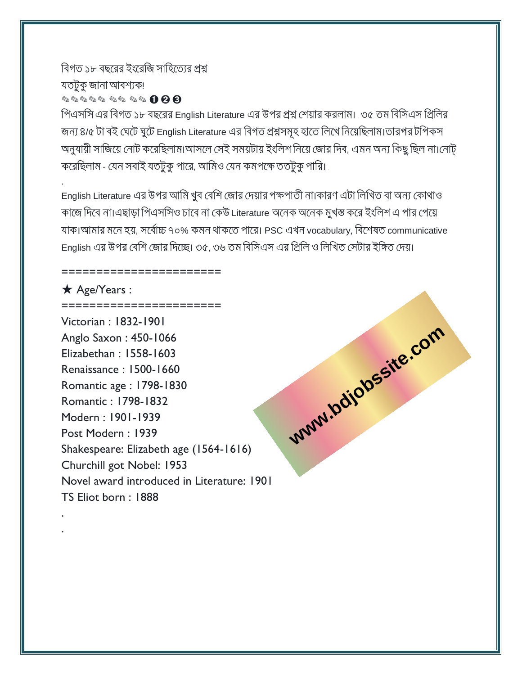# বিগত ১৮ বছরের ইংরেজি সাহিত্যের প্রশ্ন যতটুকু জানা আবশ্যক৷ ✎✎✎✎✎ ✎✎ ✎✎ ➊ ➋ ➌

=======================

পিএসসি এর বিগত ১৮ বছরের English Literature এর উপর প্রশ্ন শেয়ার করলাম। .৩৫ তম বিসিএস প্রিলির জন্য ৪/৫ টা বই ঘেটে ঘুটে English Literature এর বিগত প্রশ্নসমূহ হাতে লিখে নিয়েছিলাম।তারপর টপিকস অনুযায়ী সাজিয়ে নোট করেছিলাম।আসলে সেই সময়টায় ইংলিশ নিয়ে জোর দিব, এমন অন্য কিছু ছিল না।নোট্ করেছিলাম - যেন সবাই যতটুকু পারে, আমিও যেন কমপক্ষে ততটুকু পারি।

English Literature এর উপর আমি খুব বেশি জোর দেয়ার পক্ষপাতী না।কারণ এটা লিখিত বা অন্য কোথাও কাজে দিবে না।এছাড়া পিএসসিও চাবে না কেউ Literature অনেক অনেক মুখস্ত করে ইংলিশ এ পার পেয়ে যাক।আমার মনে হয়, সর্বোচ্চ ৭০% কমন থাকতে পারে। PSC এখন vocabulary, বিশেষত communicative English এর উপর বেশি জোর দিচ্ছে। ৩৫, ৩৬ তম বিসিএস এর প্রিলি ও লিখিত সেটার ইঙ্গিত দেয়।

**[www.bdjobssite.com](http://www.bdjobssite.com)** 

## ★ Age/Years :

.

. .

======================= Victorian : 1832-1901 Anglo Saxon : 450-1066 Elizabethan : 1558-1603 Renaissance : 1500-1660 Romantic age : 1798-1830 Romantic : 1798-1832 Modern : 1901-1939 Post Modern : 1939 Shakespeare: Elizabeth age (1564-1616) Churchill got Nobel: 1953 Novel award introduced in Literature: 1901 TS Eliot born : 1888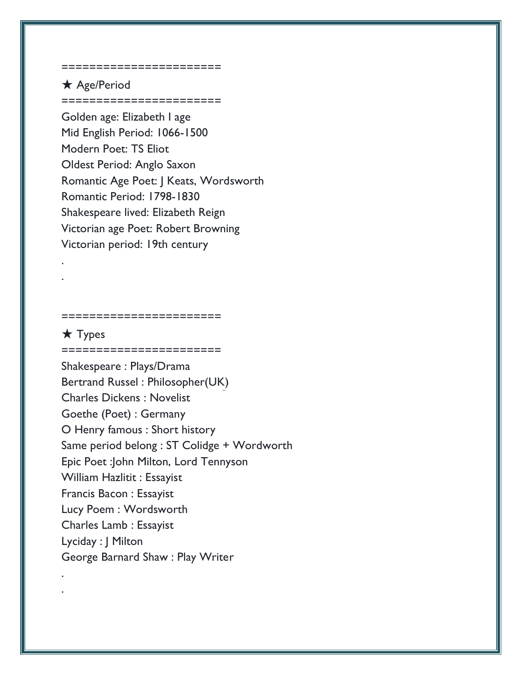#### ========================

## ★ Age/Period ========================

Golden age: Elizabeth I age Mid English Period: 1066-1500 Modern Poet: TS Eliot Oldest Period: Anglo Saxon Romantic Age Poet: J Keats, Wordsworth Romantic Period: 1798-1830 Shakespeare lived: Elizabeth Reign Victorian age Poet: Robert Browning Victorian period: 19th century

#### =======================

========================

### ★ Types

. .

. .

Shakespeare : Plays/Drama Bertrand Russel : Philosopher(UK) Charles Dickens : Novelist Goethe (Poet) : Germany O Henry famous : Short history Same period belong : ST Colidge + Wordworth Epic Poet :John Milton, Lord Tennyson William Hazlitit : Essayist Francis Bacon : Essayist Lucy Poem : Wordsworth Charles Lamb : Essayist Lyciday : J Milton George Barnard Shaw : Play Writer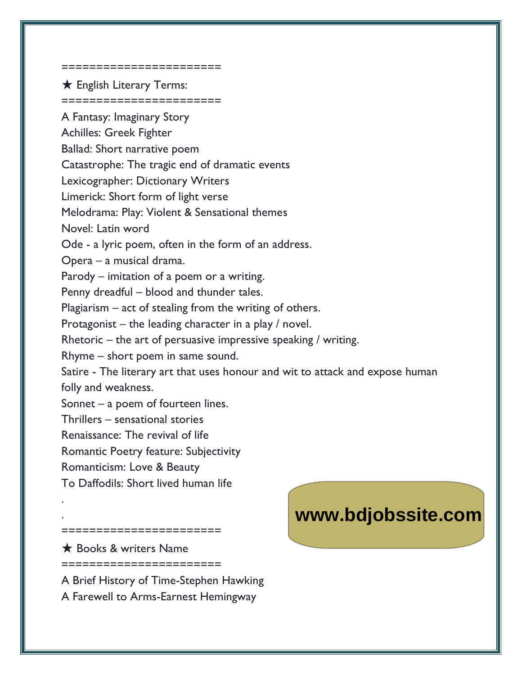#### ========================

**★ English Literary Terms:** ========================

A Fantasy: Imaginary Story Achilles: Greek Fighter Ballad: Short narrative poem Catastrophe: The tragic end of dramatic events Lexicographer: Dictionary Writers Limerick: Short form of light verse Melodrama: Play: Violent & Sensational themes Novel: Latin word Ode - a lyric poem, often in the form of an address. Opera – a musical drama. Parody – imitation of a poem or a writing. Penny dreadful – blood and thunder tales. Plagiarism – act of stealing from the writing of others. Protagonist – the leading character in a play / novel. Rhetoric – the art of persuasive impressive speaking / writing. Rhyme – short poem in same sound. Satire - The literary art that uses honour and wit to attack and expose human folly and weakness. Sonnet – a poem of fourteen lines. Thrillers – sensational stories Renaissance: The revival of life Romantic Poetry feature: Subjectivity Romanticism: Love & Beauty

To Daffodils: Short lived human life

=======================

**★ Books & writers Name** 

. .

========================

A Brief History of Time-Stephen Hawking A Farewell to Arms-Earnest Hemingway

# **[www.bdjobssite.com](http://www.bdjobssite.com)**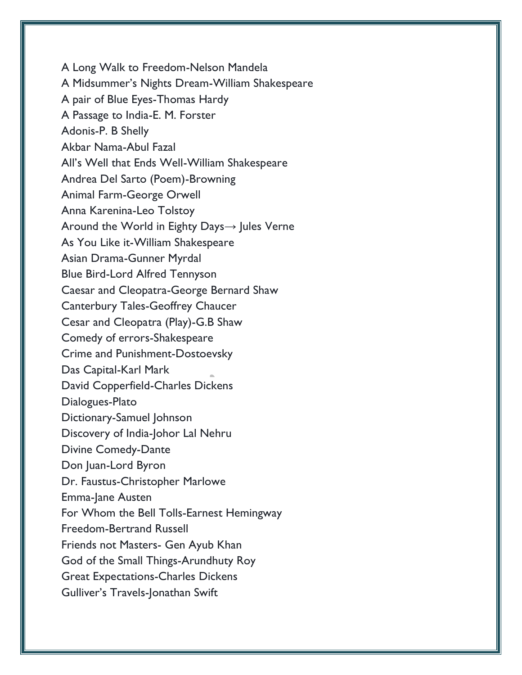A Long Walk to Freedom-Nelson Mandela A Midsummer's Nights Dream-William Shakespeare A pair of Blue Eyes-Thomas Hardy A Passage to India-E. M. Forster Adonis-P. B Shelly Akbar Nama-Abul Fazal All's Well that Ends Well-William Shakespeare Andrea Del Sarto (Poem)-Browning Animal Farm-George Orwell Anna Karenina-Leo Tolstoy Around the World in Eighty Days→ Jules Verne As You Like it-William Shakespeare Asian Drama-Gunner Myrdal Blue Bird-Lord Alfred Tennyson Caesar and Cleopatra-George Bernard Shaw Canterbury Tales-Geoffrey Chaucer Cesar and Cleopatra (Play)-G.B Shaw Comedy of errors-Shakespeare Crime and Punishment-Dostoevsky Das Capital-Karl Mark David Copperfield-Charles Dickens Dialogues-Plato Dictionary-Samuel Johnson Discovery of India-Johor Lal Nehru Divine Comedy-Dante Don Juan-Lord Byron Dr. Faustus-Christopher Marlowe Emma-Jane Austen For Whom the Bell Tolls-Earnest Hemingway Freedom-Bertrand Russell Friends not Masters- Gen Ayub Khan God of the Small Things-Arundhuty Roy Great Expectations-Charles Dickens Gulliver's Travels-Jonathan Swift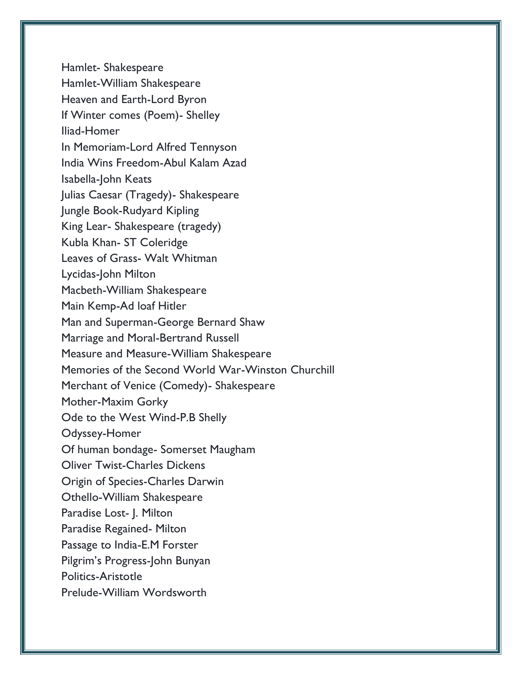Hamlet- Shakespeare Hamlet-William Shakespeare Heaven and Earth-Lord Byron If Winter comes (Poem)- Shelley Iliad-Homer In Memoriam-Lord Alfred Tennyson India Wins Freedom-Abul Kalam Azad Isabella-John Keats Julias Caesar (Tragedy)- Shakespeare Jungle Book-Rudyard Kipling King Lear- Shakespeare (tragedy) Kubla Khan- ST Coleridge Leaves of Grass- Walt Whitman Lycidas-John Milton Macbeth-William Shakespeare Main Kemp-Ad loaf Hitler Man and Superman-George Bernard Shaw Marriage and Moral-Bertrand Russell Measure and Measure-William Shakespeare Memories of the Second World War-Winston Churchill Merchant of Venice (Comedy)- Shakespeare Mother-Maxim Gorky Ode to the West Wind-P.B Shelly Odyssey-Homer Of human bondage- Somerset Maugham Oliver Twist-Charles Dickens Origin of Species-Charles Darwin Othello-William Shakespeare Paradise Lost- J. Milton Paradise Regained- Milton Passage to India-E.M Forster Pilgrim's Progress-John Bunyan Politics-Aristotle Prelude-William Wordsworth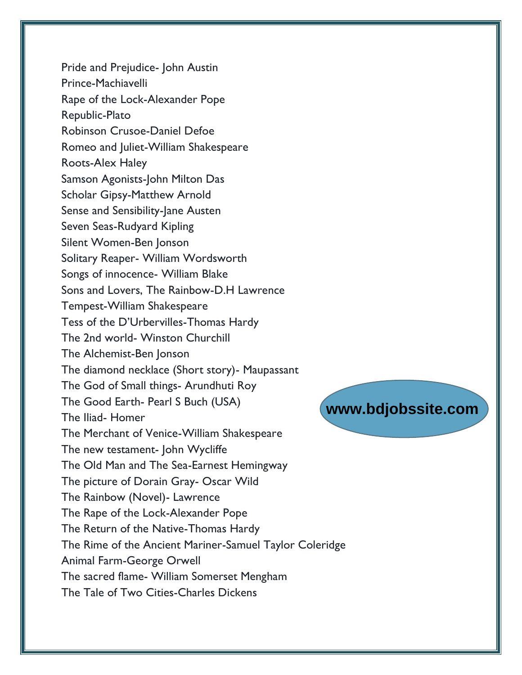Pride and Prejudice- John Austin Prince-Machiavelli Rape of the Lock-Alexander Pope Republic-Plato Robinson Crusoe-Daniel Defoe Romeo and Juliet-William Shakespeare Roots-Alex Haley Samson Agonists-John Milton Das Scholar Gipsy-Matthew Arnold Sense and Sensibility-Jane Austen Seven Seas-Rudyard Kipling Silent Women-Ben Jonson Solitary Reaper- William Wordsworth Songs of innocence- William Blake Sons and Lovers, The Rainbow-D.H Lawrence Tempest-William Shakespeare Tess of the D'Urbervilles-Thomas Hardy The 2nd world- Winston Churchill The Alchemist-Ben Jonson The diamond necklace (Short story)- Maupassant The God of Small things- Arundhuti Roy The Good Earth- Pearl S Buch (USA) The Iliad- Homer The Merchant of Venice-William Shakespeare The new testament- John Wycliffe The Old Man and The Sea-Earnest Hemingway The picture of Dorain Gray- Oscar Wild The Rainbow (Novel)- Lawrence The Rape of the Lock-Alexander Pope The Return of the Native-Thomas Hardy The Rime of the Ancient Mariner-Samuel Taylor Coleridge Animal Farm-George Orwell The sacred flame- William Somerset Mengham The Tale of Two Cities-Charles Dickens

**[www.bdjobssite.com](http://www.bdjobssite.com)**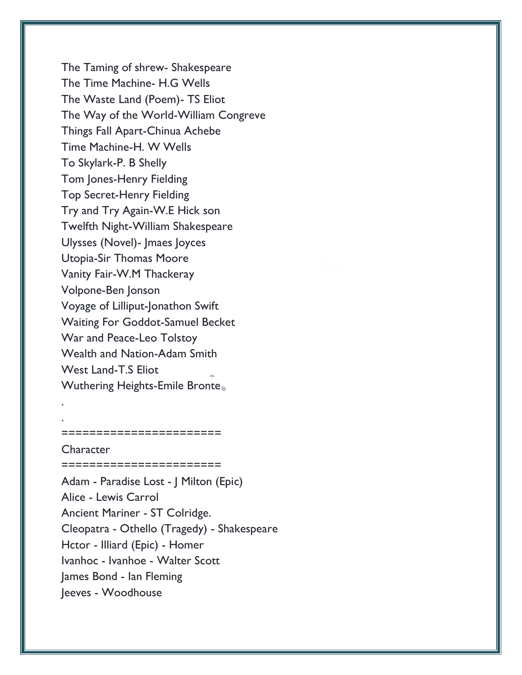The Taming of shrew- Shakespeare The Time Machine- H.G Wells The Waste Land (Poem)- TS Eliot The Way of the World-William Congreve Things Fall Apart-Chinua Achebe Time Machine-H. W Wells To Skylark-P. B Shelly Tom Jones-Henry Fielding Top Secret-Henry Fielding Try and Try Again-W.E Hick son Twelfth Night-William Shakespeare Ulysses (Novel)- Jmaes Joyces Utopia-Sir Thomas Moore Vanity Fair-W.M Thackeray Volpone-Ben Jonson Voyage of Lilliput-Jonathon Swift Waiting For Goddot-Samuel Becket War and Peace-Leo Tolstoy Wealth and Nation-Adam Smith West Land-T.S Eliot Wuthering Heights-Emile Bronte

#### **Character**

. .

Adam - Paradise Lost - J Milton (Epic) Alice - Lewis Carrol Ancient Mariner - ST Colridge. Cleopatra - Othello (Tragedy) - Shakespeare Hctor - Illiard (Epic) - Homer Ivanhoc - Ivanhoe - Walter Scott James Bond - Ian Fleming Jeeves - Woodhouse

=======================

========================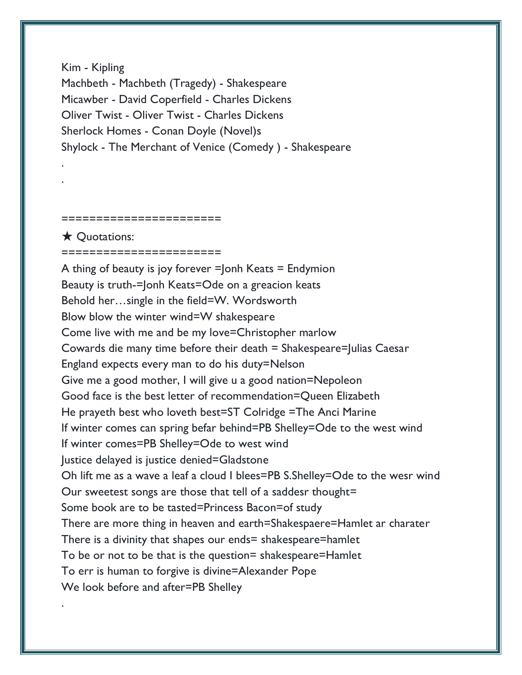Kim - Kipling Machbeth - Machbeth (Tragedy) - Shakespeare Micawber - David Coperfield - Charles Dickens Oliver Twist - Oliver Twist - Charles Dickens Sherlock Homes - Conan Doyle (Novel)s Shylock - The Merchant of Venice (Comedy ) - Shakespeare

#### ======================

★ Quotations:

. .

.

=======================

A thing of beauty is joy forever  $=$  Jonh Keats  $=$  Endymion Beauty is truth-=Jonh Keats=Ode on a greacion keats Behold her…single in the field=W. Wordsworth Blow blow the winter wind=W shakespeare Come live with me and be my love=Christopher marlow Cowards die many time before their death = Shakespeare=Julias Caesar England expects every man to do his duty=Nelson Give me a good mother, I will give u a good nation=Nepoleon Good face is the best letter of recommendation=Queen Elizabeth He prayeth best who loveth best=ST Colridge =The Anci Marine If winter comes can spring befar behind=PB Shelley=Ode to the west wind If winter comes=PB Shelley=Ode to west wind Justice delayed is justice denied=Gladstone Oh lift me as a wave a leaf a cloud I blees=PB S.Shelley=Ode to the wesr wind Our sweetest songs are those that tell of a saddesr thought= Some book are to be tasted=Princess Bacon=of study There are more thing in heaven and earth=Shakespaere=Hamlet ar charater There is a divinity that shapes our ends= shakespeare=hamlet To be or not to be that is the question= shakespeare=Hamlet To err is human to forgive is divine=Alexander Pope We look before and after=PB Shelley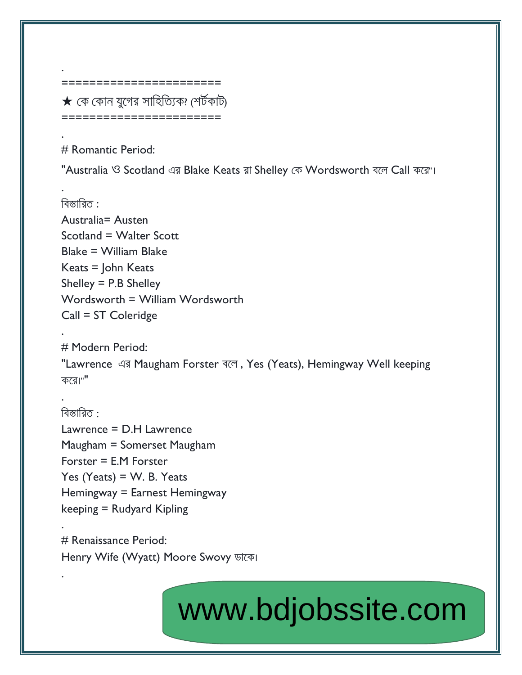$\bigstar$  কে কোন যুগের সাহিত্যিক? শের্টকাট) =======================

========================

# Romantic Period:

.

.

.

.

.

.

"Australia ও Scotland এর Blake Keats রা Shelley কে Wordsworth বলে Call করে"।

বিস্তারিত $\cdot$ Australia= Austen Scotland = Walter Scott Blake = William Blake Keats = John Keats Shelley = P.B Shelley Wordsworth = William Wordsworth Call = ST Coleridge

. # Modern Period: "Lawrence এর Maugham Forster বলে, Yes (Yeats), Hemingway Well keeping  $\overline{\Phi}$ রে।""

বিস্তারিত : Lawrence = D.H Lawrence Maugham = Somerset Maugham Forster = E.M Forster Yes (Yeats) =  $W$ . B. Yeats Hemingway = Earnest Hemingway keeping = Rudyard Kipling

# Renaissance Period: Henry Wife (Wyatt) Moore Swovy ডাকে।

# [www.bdjobssite.com](http://www.bdjobssite.com)